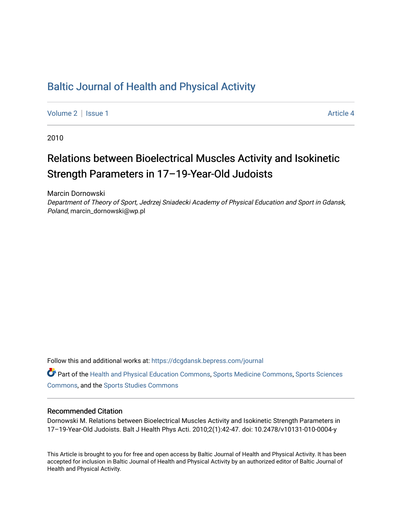# [Baltic Journal of Health and Physical Activity](https://dcgdansk.bepress.com/journal)

[Volume 2](https://dcgdansk.bepress.com/journal/vol2) | [Issue 1](https://dcgdansk.bepress.com/journal/vol2/iss1) Article 4

2010

# Relations between Bioelectrical Muscles Activity and Isokinetic Strength Parameters in 17–19-Year-Old Judoists

Marcin Dornowski

Department of Theory of Sport, Jedrzej Sniadecki Academy of Physical Education and Sport in Gdansk, Poland, marcin\_dornowski@wp.pl

Follow this and additional works at: [https://dcgdansk.bepress.com/journal](https://dcgdansk.bepress.com/journal?utm_source=dcgdansk.bepress.com%2Fjournal%2Fvol2%2Fiss1%2F4&utm_medium=PDF&utm_campaign=PDFCoverPages)

Part of the [Health and Physical Education Commons](http://network.bepress.com/hgg/discipline/1327?utm_source=dcgdansk.bepress.com%2Fjournal%2Fvol2%2Fiss1%2F4&utm_medium=PDF&utm_campaign=PDFCoverPages), [Sports Medicine Commons,](http://network.bepress.com/hgg/discipline/1331?utm_source=dcgdansk.bepress.com%2Fjournal%2Fvol2%2Fiss1%2F4&utm_medium=PDF&utm_campaign=PDFCoverPages) [Sports Sciences](http://network.bepress.com/hgg/discipline/759?utm_source=dcgdansk.bepress.com%2Fjournal%2Fvol2%2Fiss1%2F4&utm_medium=PDF&utm_campaign=PDFCoverPages) [Commons](http://network.bepress.com/hgg/discipline/759?utm_source=dcgdansk.bepress.com%2Fjournal%2Fvol2%2Fiss1%2F4&utm_medium=PDF&utm_campaign=PDFCoverPages), and the [Sports Studies Commons](http://network.bepress.com/hgg/discipline/1198?utm_source=dcgdansk.bepress.com%2Fjournal%2Fvol2%2Fiss1%2F4&utm_medium=PDF&utm_campaign=PDFCoverPages) 

#### Recommended Citation

Dornowski M. Relations between Bioelectrical Muscles Activity and Isokinetic Strength Parameters in 17–19-Year-Old Judoists. Balt J Health Phys Acti. 2010;2(1):42-47. doi: 10.2478/v10131-010-0004-y

This Article is brought to you for free and open access by Baltic Journal of Health and Physical Activity. It has been accepted for inclusion in Baltic Journal of Health and Physical Activity by an authorized editor of Baltic Journal of Health and Physical Activity.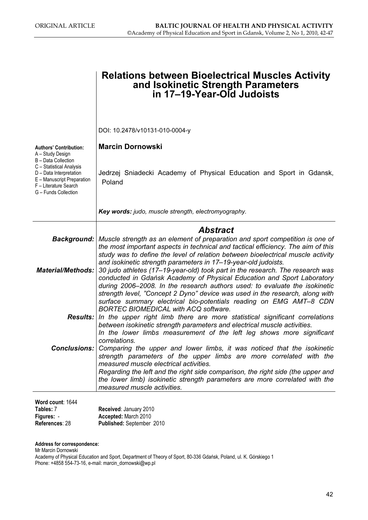|                                                                                                                                                                               | <b>Relations between Bioelectrical Muscles Activity</b><br>and Isokinetic Strength Parameters<br>in 17-19-Year-Old Judoists                                                                                                                                                                                                                                                                                                                                                                                                                                                                                                          |
|-------------------------------------------------------------------------------------------------------------------------------------------------------------------------------|--------------------------------------------------------------------------------------------------------------------------------------------------------------------------------------------------------------------------------------------------------------------------------------------------------------------------------------------------------------------------------------------------------------------------------------------------------------------------------------------------------------------------------------------------------------------------------------------------------------------------------------|
|                                                                                                                                                                               | DOI: 10.2478/v10131-010-0004-y                                                                                                                                                                                                                                                                                                                                                                                                                                                                                                                                                                                                       |
| <b>Authors' Contribution:</b>                                                                                                                                                 | <b>Marcin Dornowski</b>                                                                                                                                                                                                                                                                                                                                                                                                                                                                                                                                                                                                              |
| A – Study Design<br>B - Data Collection<br>C - Statistical Analysis<br>D - Data Interpretation<br>E - Manuscript Preparation<br>F - Literature Search<br>G - Funds Collection | Jedrzej Sniadecki Academy of Physical Education and Sport in Gdansk,<br>Poland                                                                                                                                                                                                                                                                                                                                                                                                                                                                                                                                                       |
|                                                                                                                                                                               | Key words: judo, muscle strength, electromyography.                                                                                                                                                                                                                                                                                                                                                                                                                                                                                                                                                                                  |
|                                                                                                                                                                               | <b>Abstract</b>                                                                                                                                                                                                                                                                                                                                                                                                                                                                                                                                                                                                                      |
|                                                                                                                                                                               | <b>Background:</b> Muscle strength as an element of preparation and sport competition is one of                                                                                                                                                                                                                                                                                                                                                                                                                                                                                                                                      |
| <b>Material/Methods:</b>                                                                                                                                                      | the most important aspects in technical and tactical efficiency. The aim of this<br>study was to define the level of relation between bioelectrical muscle activity<br>and isokinetic strength parameters in 17-19-year-old judoists.<br>30 judo athletes (17–19-year-old) took part in the research. The research was<br>conducted in Gdańsk Academy of Physical Education and Sport Laboratory<br>during 2006–2008. In the research authors used: to evaluate the isokinetic<br>strength level, "Concept 2 Dyno" device was used in the research, along with<br>surface summary electrical bio-potentials reading on EMG AMT-8 CDN |
|                                                                                                                                                                               | <b>BORTEC BIOMEDICAL with ACQ software.</b><br><b>Results:</b> In the upper right limb there are more statistical significant correlations                                                                                                                                                                                                                                                                                                                                                                                                                                                                                           |
|                                                                                                                                                                               | between isokinetic strength parameters and electrical muscle activities.<br>In the lower limbs measurement of the left leg shows more significant<br>correlations.                                                                                                                                                                                                                                                                                                                                                                                                                                                                   |
| <b>Conclusions:</b>                                                                                                                                                           | Comparing the upper and lower limbs, it was noticed that the isokinetic                                                                                                                                                                                                                                                                                                                                                                                                                                                                                                                                                              |
|                                                                                                                                                                               | strength parameters of the upper limbs are more correlated with the<br>measured muscle electrical activities.                                                                                                                                                                                                                                                                                                                                                                                                                                                                                                                        |
|                                                                                                                                                                               | Regarding the left and the right side comparison, the right side (the upper and<br>the lower limb) isokinetic strength parameters are more correlated with the<br>measured muscle activities.                                                                                                                                                                                                                                                                                                                                                                                                                                        |
|                                                                                                                                                                               |                                                                                                                                                                                                                                                                                                                                                                                                                                                                                                                                                                                                                                      |
| Word count: 1644<br>Tables: 7                                                                                                                                                 | Received: January 2010                                                                                                                                                                                                                                                                                                                                                                                                                                                                                                                                                                                                               |
| Figures: -                                                                                                                                                                    | Accepted: March 2010                                                                                                                                                                                                                                                                                                                                                                                                                                                                                                                                                                                                                 |

#### Address for correspondence:

Mr Marcin Dornowski

References: 28

Academy of Physical Education and Sport, Department of Theory of Sport, 80-336 Gdańsk, Poland, ul. K. Górskiego 1 Phone: +4858 554-73-16, e-mail: marcin\_dornowski@wp.pl

Published: September 2010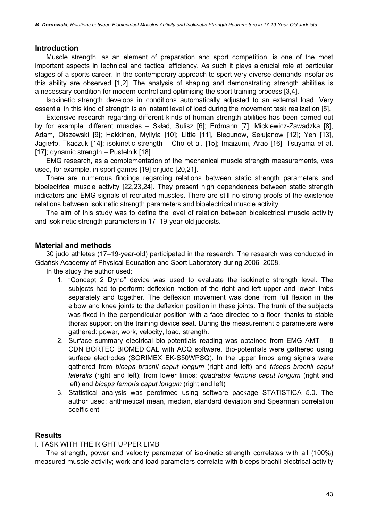#### **Introduction**

Muscle strength, as an element of preparation and sport competition, is one of the most important aspects in technical and tactical efficiency. As such it plays a crucial role at particular stages of a sports career. In the contemporary approach to sport very diverse demands insofar as this ability are observed [1,2]. The analysis of shaping and demonstrating strength abilities is a necessary condition for modern control and optimising the sport training process [3,4].

Isokinetic strength develops in conditions automatically adjusted to an external load. Very essential in this kind of strength is an instant level of load during the movement task realization [5].

Extensive research regarding different kinds of human strength abilities has been carried out by for example: different muscles – Skład, Sulisz [6]; Erdmann [7], Mickiewicz-Zawadzka [8], Adam, Olszewski [9]; Hakkinen, Myllyla [10]; Little [11], Biegunow, Sełujanow [12]; Yen [13], Jagiełło, Tkaczuk [14]; isokinetic strength – Cho et al. [15]; Imaizumi, Arao [16]; Tsuyama et al. [17]; dynamic strength – Pustelnik [18].

EMG research, as a complementation of the mechanical muscle strength measurements, was used, for example, in sport games [19] or judo [20,21].

There are numerous findings regarding relations between static strength parameters and bioelectrical muscle activity [22,23,24]. They present high dependences between static strength indicators and EMG signals of recruited muscles. There are still no strong proofs of the existence relations between isokinetic strength parameters and bioelectrical muscle activity.

The aim of this study was to define the level of relation between bioelectrical muscle activity and isokinetic strength parameters in 17–19-year-old judoists.

# Material and methods

30 judo athletes (17–19-year-old) participated in the research. The research was conducted in Gdańsk Academy of Physical Education and Sport Laboratory during 2006–2008.

In the study the author used:

- 1. "Concept 2 Dyno" device was used to evaluate the isokinetic strength level. The subjects had to perform: deflexion motion of the right and left upper and lower limbs separately and together. The deflexion movement was done from full flexion in the elbow and knee joints to the deflexion position in these joints. The trunk of the subjects was fixed in the perpendicular position with a face directed to a floor, thanks to stable thorax support on the training device seat. During the measurement 5 parameters were gathered: power, work, velocity, load, strength.
- 2. Surface summary electrical bio-potentials reading was obtained from EMG AMT 8 CDN BORTEC BIOMEDICAL with ACQ software. Bio-potentials were gathered using surface electrodes (SORIMEX EK-S50WPSG). In the upper limbs emg signals were gathered from biceps brachii caput longum (right and left) and triceps brachii caput lateralis (right and left); from lower limbs: quadratus femoris caput longum (right and left) and biceps femoris caput longum (right and left)
- 3. Statistical analysis was perofrmed using software package STATISTICA 5.0. The author used: arithmetical mean, median, standard deviation and Spearman correlation coefficient.

#### **Results**

#### I. TASK WITH THE RIGHT UPPER LIMB

The strength, power and velocity parameter of isokinetic strength correlates with all (100%) measured muscle activity; work and load parameters correlate with biceps brachii electrical activity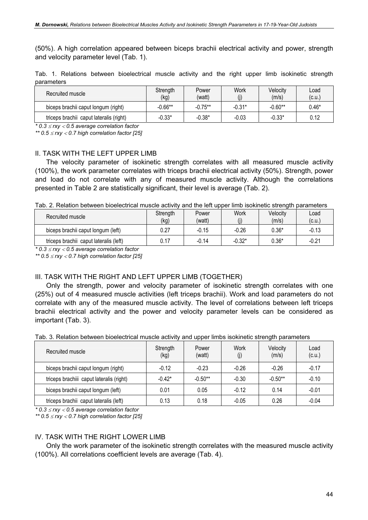(50%). A high correlation appeared between biceps brachii electrical activity and power, strength and velocity parameter level (Tab. 1).

|            |  | Tab. 1. Relations between bioelectrical muscle activity and the right upper limb isokinetic strength |  |  |  |  |  |
|------------|--|------------------------------------------------------------------------------------------------------|--|--|--|--|--|
| parameters |  |                                                                                                      |  |  |  |  |  |

| Recruited muscle                        | Strength<br>(kg) | Power<br>(watt) | Work     | Velocity<br>(m/s) | Load<br>(c.u. |
|-----------------------------------------|------------------|-----------------|----------|-------------------|---------------|
| biceps brachii caput longum (right)     | $-0.66***$       | $-0.75***$      | $-0.31*$ | $-0.60**$         | $0.46*$       |
| triceps brachii caput lateralis (right) | $-0.33*$         | $-0.38*$        | $-0.03$  | $-0.33*$          | 0.12          |

 $*$  0.3  $\leq$  rxy  $<$  0.5 average correlation factor

\*\*  $0.5 \leq$ rxy  $<$  0.7 high correlation factor [25]

#### II. TASK WITH THE LEFT UPPER LIMB

The velocity parameter of isokinetic strength correlates with all measured muscle activity (100%), the work parameter correlates with triceps brachii electrical activity (50%). Strength, power and load do not correlate with any of measured muscle activity. Although the correlations presented in Table 2 are statistically significant, their level is average (Tab. 2).

Tab. 2. Relation between bioelectrical muscle activity and the left upper limb isokinetic strength parameters

| Recruited muscle                       | Strength<br>(kg) | Power<br>(watt) | Work<br>$\rm (j)$ | Velocity<br>(m/s) | Load<br>(c.u. |
|----------------------------------------|------------------|-----------------|-------------------|-------------------|---------------|
| biceps brachii caput longum (left)     | 0.27             | $-0.15$         | $-0.26$           | $0.36*$           | $-0.13$       |
| triceps brachii caput lateralis (left) | 0.17             | $-0.14$         | $-0.32*$          | $0.36*$           | $-0.21$       |

 $*$  0.3  $\leq$  rxy  $<$  0.5 average correlation factor

\*\*  $0.5 \leq$ rxy < 0.7 high correlation factor [25]

# III. TASK WITH THE RIGHT AND LEFT UPPER LIMB (TOGETHER)

Only the strength, power and velocity parameter of isokinetic strength correlates with one (25%) out of 4 measured muscle activities (left triceps brachii). Work and load parameters do not correlate with any of the measured muscle activity. The level of correlations between left triceps brachii electrical activity and the power and velocity parameter levels can be considered as important (Tab. 3).

Tab. 3. Relation between bioelectrical muscle activity and upper limbs isokinetic strength parameters

| Recruited muscle                         | Strength<br>(kg) | Power<br>(watt) | Work<br>(i) | Velocity<br>(m/s) | Load<br>(c.u.) |
|------------------------------------------|------------------|-----------------|-------------|-------------------|----------------|
| biceps brachii caput longum (right)      | $-0.12$          | $-0.23$         | $-0.26$     | $-0.26$           | $-0.17$        |
| triceps brachiii caput lateralis (right) | $-0.42*$         | $-0.50**$       | $-0.30$     | $-0.50**$         | $-0.10$        |
| biceps brachii caput longum (left)       | 0.01             | 0.05            | $-0.12$     | 0.14              | $-0.01$        |
| triceps brachii caput lateralis (left)   | 0.13             | 0.18            | $-0.05$     | 0.26              | $-0.04$        |

 $*$  0.3  $\leq$  rxy  $<$  0.5 average correlation factor

\*\*  $0.5 \leq$  rxy < 0.7 high correlation factor [25]

#### IV. TASK WITH THE RIGHT LOWER LIMB

Only the work parameter of the isokinetic strength correlates with the measured muscle activity (100%). All correlations coefficient levels are average (Tab. 4).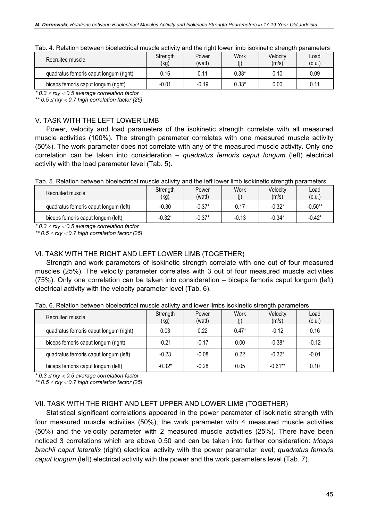| Recruited muscle                       | Strength<br>(kg) | Power<br>(watt) | Work    | Velocitv<br>(m/s) | Load<br>(c.u.) |
|----------------------------------------|------------------|-----------------|---------|-------------------|----------------|
| quadratus femoris caput longum (right) | 0.16             | 0.11            | $0.38*$ | 0.10              | 0.09           |
| biceps femoris caput longum (right)    | $-0.01$          | $-0.19$         | $0.33*$ | 0.00              | 0.11           |

Tab. 4. Relation between bioelectrical muscle activity and the right lower limb isokinetic strength parameters

 $*$  0.3  $\leq$  rxy  $<$  0.5 average correlation factor

\*\*  $0.5 \leq$ rxy < 0.7 high correlation factor [25]

# V. TASK WITH THE LEFT LOWER LIMB

Power, velocity and load parameters of the isokinetic strength correlate with all measured muscle activities (100%). The strength parameter correlates with one measured muscle activity (50%). The work parameter does not correlate with any of the measured muscle activity. Only one correlation can be taken into consideration – quadratus femoris caput longum (left) electrical activity with the load parameter level (Tab. 5).

Tab. 5. Relation between bioelectrical muscle activity and the left lower limb isokinetic strength parameters

| Recruited muscle                      | Strength<br>(kg) | Power<br>(watt) | Work    | Velocitv<br>(m/s) | Load<br>(c.u.) |
|---------------------------------------|------------------|-----------------|---------|-------------------|----------------|
| quadratus femoris caput longum (left) | $-0.30$          | $-0.37*$        | 0.17    | $-0.32*$          | $-0.50**$      |
| biceps femoris caput longum (left)    | $-0.32*$         | $-0.37*$        | $-0.13$ | $-0.34*$          | $-0.42*$       |

 $*$  0.3  $\leq$  rxy  $<$  0.5 average correlation factor

\*\*  $0.5 \leq$ rxy < 0.7 high correlation factor [25]

# VI. TASK WITH THE RIGHT AND LEFT LOWER LIMB (TOGETHER)

Strength and work parameters of isokinetic strength correlate with one out of four measured muscles (25%). The velocity parameter correlates with 3 out of four measured muscle activities (75%). Only one correlation can be taken into consideration – biceps femoris caput longum (left) electrical activity with the velocity parameter level (Tab. 6).

| Recruited muscle                       | Strength<br>(kg) | Power<br>(watt) | <b>Work</b><br>(j) | Velocity<br>(m/s) | Load<br>(c.u.) |
|----------------------------------------|------------------|-----------------|--------------------|-------------------|----------------|
| quadratus femoris caput longum (right) | 0.03             | 0.22            | $0.47*$            | $-0.12$           | 0.16           |
| biceps femoris caput longum (right)    | $-0.21$          | $-0.17$         | 0.00               | $-0.38*$          | $-0.12$        |
| quadratus femoris caput longum (left)  | $-0.23$          | $-0.08$         | 0.22               | $-0.32*$          | $-0.01$        |
| biceps femoris caput longum (left)     | $-0.32*$         | $-0.28$         | 0.05               | $-0.61**$         | 0.10           |

Tab. 6. Relation between bioelectrical muscle activity and lower limbs isokinetic strength parameters

 $*$  0.3  $\leq$  rxy  $<$  0.5 average correlation factor

\*\*  $0.5 \leq$ rxy < 0.7 high correlation factor [25]

# VII. TASK WITH THE RIGHT AND LEFT UPPER AND LOWER LIMB (TOGETHER)

Statistical significant correlations appeared in the power parameter of isokinetic strength with four measured muscle activities (50%), the work parameter with 4 measured muscle activities (50%) and the velocity parameter with 2 measured muscle activities (25%). There have been noticed 3 correlations which are above 0.50 and can be taken into further consideration: *triceps* brachii caput lateralis (right) electrical activity with the power parameter level; quadratus femoris caput longum (left) electrical activity with the power and the work parameters level (Tab. 7).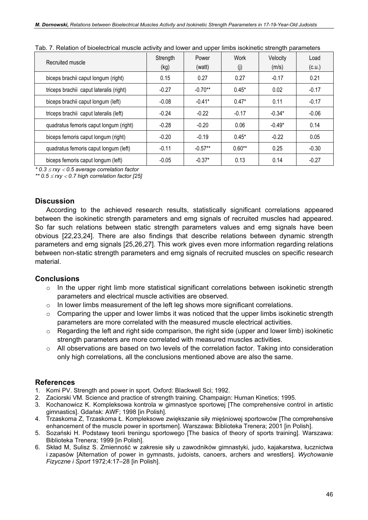| Recruited muscle                        | Strength<br>(kg) | Power<br>(watt) | <b>Work</b><br>(i) | Velocity<br>(m/s) | Load<br>(c.u.) |
|-----------------------------------------|------------------|-----------------|--------------------|-------------------|----------------|
| biceps brachii caput longum (right)     | 0.15             | 0.27            | 0.27               | $-0.17$           | 0.21           |
| triceps brachii caput lateralis (right) | $-0.27$          | $-0.70**$       | $0.45*$            | 0.02              | $-0.17$        |
| biceps brachii caput longum (left)      | $-0.08$          | $-0.41*$        | $0.47*$            | 0.11              | $-0.17$        |
| triceps brachii caput lateralis (left)  | $-0.24$          | $-0.22$         | $-0.17$            | $-0.34*$          | $-0.06$        |
| quadratus femoris caput longum (right)  | $-0.28$          | $-0.20$         | 0.06               | $-0.49*$          | 0.14           |
| biceps femoris caput longum (right)     | $-0.20$          | $-0.19$         | $0.45*$            | $-0.22$           | 0.05           |
| quadratus femoris caput longum (left)   | $-0.11$          | $-0.57**$       | $0.60**$           | 0.25              | $-0.30$        |
| biceps femoris caput longum (left)      | $-0.05$          | $-0.37*$        | 0.13               | 0.14              | $-0.27$        |

 $*$  0.3  $\leq$  rxy  $<$  0.5 average correlation factor

\*\*  $0.5 \leq$ rxy < 0.7 high correlation factor [25]

# **Discussion**

According to the achieved research results, statistically significant correlations appeared between the isokinetic strength parameters and emg signals of recruited muscles had appeared. So far such relations between static strength parameters values and emg signals have been obvious [22,23,24]. There are also findings that describe relations between dynamic strength parameters and emg signals [25,26,27]. This work gives even more information regarding relations between non-static strength parameters and emg signals of recruited muscles on specific research material.

# **Conclusions**

- $\circ$  In the upper right limb more statistical significant correlations between isokinetic strength parameters and electrical muscle activities are observed.
- $\circ$  In lower limbs measurement of the left leg shows more significant correlations.
- $\circ$  Comparing the upper and lower limbs it was noticed that the upper limbs isokinetic strength parameters are more correlated with the measured muscle electrical activities.
- $\circ$  Regarding the left and right side comparison, the right side (upper and lower limb) isokinetic strength parameters are more correlated with measured muscles activities.
- $\circ$  All observations are based on two levels of the correlation factor. Taking into consideration only high correlations, all the conclusions mentioned above are also the same.

# References

- 1. Komi PV. Strength and power in sport. Oxford: Blackwell Sci; 1992.
- 2. Zaciorski VM. Science and practice of strength training. Champaign: Human Kinetics; 1995.
- 3. Kochanowicz K. Kompleksowa kontrola w gimnastyce sportowej [The comprehensive control in artistic gimnastics]. Gdańsk: AWF; 1998 [in Polish].
- 4. Trzaskoma Z, Trzaskoma Ł. Kompleksowe zwiększanie siły mięśniowej sportowców [The comprehensive enhancement of the muscle power in sportsmen]. Warszawa: Biblioteka Trenera; 2001 [in Polish].
- 5. Sozański H. Podstawy teorii treningu sportowego [The basics of theory of sports training]. Warszawa: Biblioteka Trenera; 1999 [in Polish].
- 6. Skład M, Sulisz S. Zmienność w zakresie siły u zawodników gimnastyki, judo, kajakarstwa, łucznictwa i zapasów [Alternation of power in gymnasts, judoists, canoers, archers and wrestlers]. Wychowanie Fizyczne i Sport 1972;4:17–28 [in Polish].